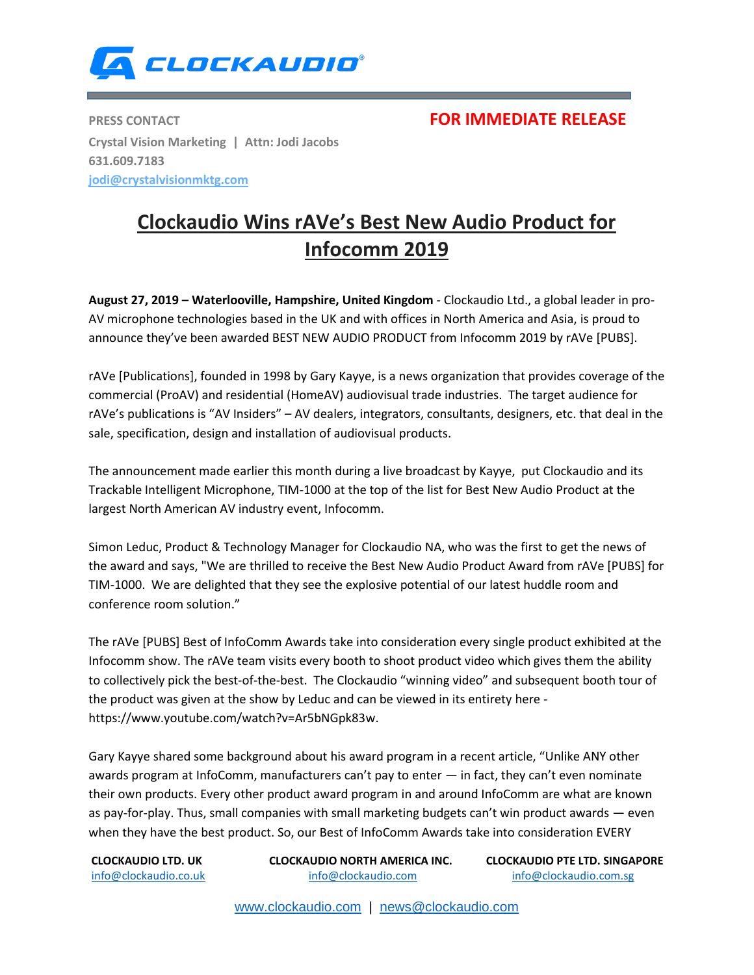

**PRESS CONTACT CONTACT CONTRACT CONTRACT CONTACT CONTRACT CONTRACT CONTRACT CONTRACT CONTRACT CONTRACT CONTRACT CONTRACT CONTRACT CONTRACT CONTRACT CONTRACT CONTRACT CONTRACT CONTRACT CONTRACT CONTRACT CONTRACT CONTRACT CO Crystal Vision Marketing | Attn: Jodi Jacobs 631.609.7183 [jodi@crystalvisionmktg.com](mailto:jodi@crystalvisionmktg.com)**

## **Clockaudio Wins rAVe's Best New Audio Product for Infocomm 2019**

**August 27, 2019 – Waterlooville, Hampshire, United Kingdom** - Clockaudio Ltd., a global leader in pro-AV microphone technologies based in the UK and with offices in North America and Asia, is proud to announce they've been awarded BEST NEW AUDIO PRODUCT from Infocomm 2019 by rAVe [PUBS].

rAVe [Publications], founded in 1998 by Gary Kayye, is a news organization that provides coverage of the commercial (ProAV) and residential (HomeAV) audiovisual trade industries. The target audience for rAVe's publications is "AV Insiders" – AV dealers, integrators, consultants, designers, etc. that deal in the sale, specification, design and installation of audiovisual products.

The announcement made earlier this month during a live broadcast by Kayye, put Clockaudio and its Trackable Intelligent Microphone, TIM-1000 at the top of the list for Best New Audio Product at the largest North American AV industry event, Infocomm.

Simon Leduc, Product & Technology Manager for Clockaudio NA, who was the first to get the news of the award and says, "We are thrilled to receive the Best New Audio Product Award from rAVe [PUBS] for TIM-1000. We are delighted that they see the explosive potential of our latest huddle room and conference room solution."

The rAVe [PUBS] Best of InfoComm Awards take into consideration every single product exhibited at the Infocomm show. The rAVe team visits every booth to shoot product video which gives them the ability to collectively pick the best-of-the-best. The Clockaudio "winning video" and subsequent booth tour of the product was given at the show by Leduc and can be viewed in its entirety [here](https://www.youtube.com/watch?v=Ar5bNGpk83w) https://www.youtube.com/watch?v=Ar5bNGpk83w.

Gary Kayye shared some background about his award program in a recent article, "Unlike ANY other awards program at InfoComm, manufacturers can't pay to enter — in fact, they can't even nominate their own products. Every other product award program in and around InfoComm are what are known as pay-for-play. Thus, small companies with small marketing budgets can't win product awards — even when they have the best product. So, our Best of InfoComm Awards take into consideration EVERY

[info@clockaudio.co.uk](mailto:info@clockaudio.co.uk) [info@clockaudio.com](mailto:info@clockaudio.com) [info@clockaudio.com.sg](mailto:info@clockaudio.com.sg) 

**CLOCKAUDIO LTD. UK CLOCKAUDIO NORTH AMERICA INC. CLOCKAUDIO PTE LTD. SINGAPORE**